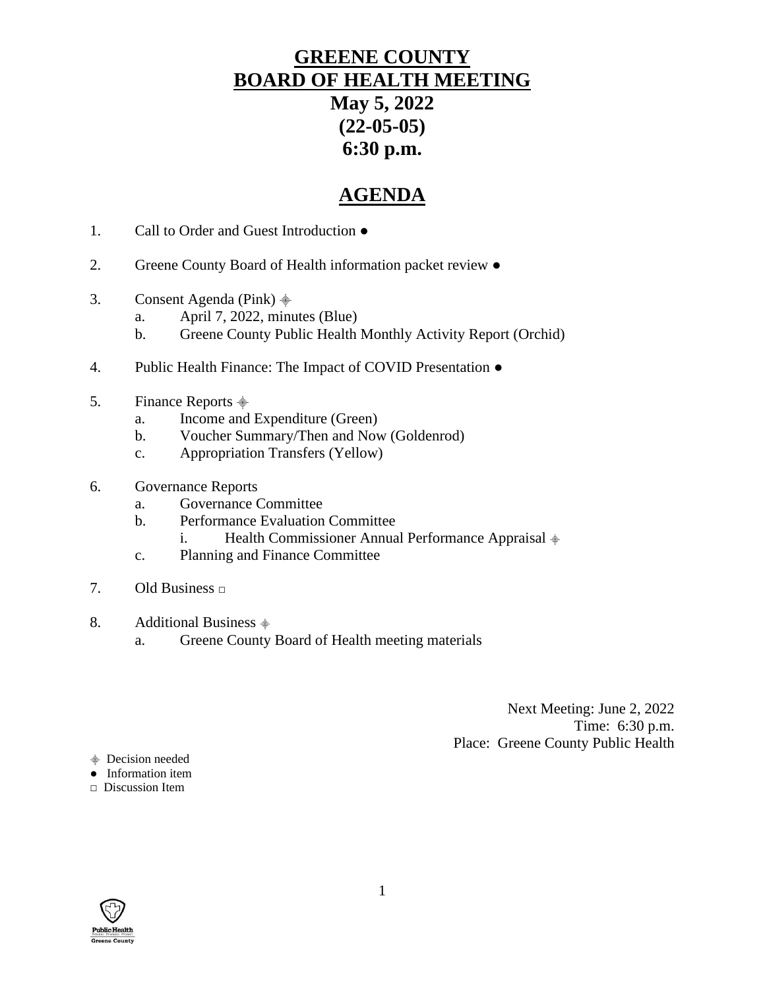# **GREENE COUNTY BOARD OF HEALTH MEETING May 5, 2022 (22-05-05) 6:30 p.m.**

# **AGENDA**

- 1. Call to Order and Guest Introduction ●
- 2. Greene County Board of Health information packet review ●
- 3. Consent Agenda (Pink)  $\stackrel{\triangle}{\equiv}$ 
	- a. April 7, 2022, minutes (Blue)
	- b. Greene County Public Health Monthly Activity Report (Orchid)
- 4. Public Health Finance: The Impact of COVID Presentation  $\bullet$
- 5. Finance Reports  $\triangleq$ 
	- a. Income and Expenditure (Green)
	- b. Voucher Summary/Then and Now (Goldenrod)
	- c. Appropriation Transfers (Yellow)
- 6. Governance Reports
	- a. Governance Committee
	- b. Performance Evaluation Committee
		- i. Health Commissioner Annual Performance Appraisal  $\frac{1}{2}$
	- c. Planning and Finance Committee
- 7. Old Business **□**
- 8. Additional Business  $\dot{\equiv}$ 
	- a. Greene County Board of Health meeting materials

Next Meeting: June 2, 2022 Time: 6:30 p.m. Place: Greene County Public Health

- ⸎ Decision needed
- Information item

□ Discussion Item

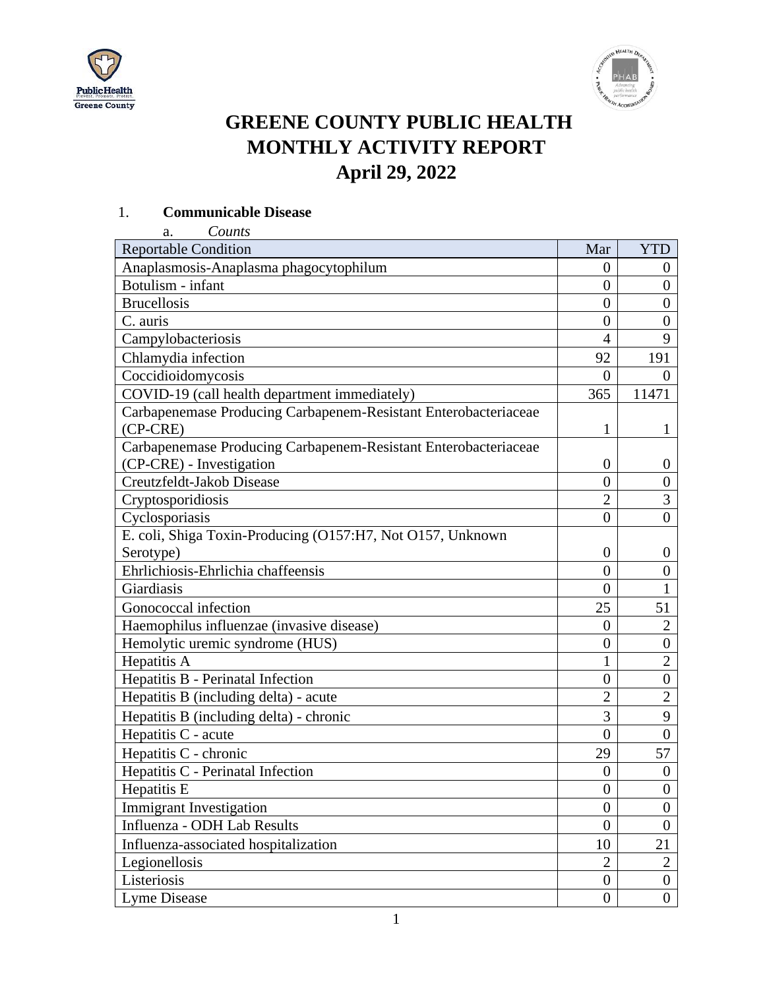



# **GREENE COUNTY PUBLIC HEALTH MONTHLY ACTIVITY REPORT April 29, 2022**

#### 1. **Communicable Disease**

| Counts<br>a.                                                    |                  |                  |
|-----------------------------------------------------------------|------------------|------------------|
| <b>Reportable Condition</b>                                     | Mar              | <b>YTD</b>       |
| Anaplasmosis-Anaplasma phagocytophilum                          | $\overline{0}$   | $\theta$         |
| Botulism - infant                                               | $\overline{0}$   | $\overline{0}$   |
| <b>Brucellosis</b>                                              | $\overline{0}$   | $\overline{0}$   |
| C. auris                                                        | $\overline{0}$   | $\overline{0}$   |
| Campylobacteriosis                                              | 4                | 9                |
| Chlamydia infection                                             | 92               | 191              |
| Coccidioidomycosis                                              | $\overline{0}$   | $\Omega$         |
| COVID-19 (call health department immediately)                   | 365              | 11471            |
| Carbapenemase Producing Carbapenem-Resistant Enterobacteriaceae |                  |                  |
| $(CP-CRE)$                                                      | 1                | 1                |
| Carbapenemase Producing Carbapenem-Resistant Enterobacteriaceae |                  |                  |
| (CP-CRE) - Investigation                                        | $\boldsymbol{0}$ | $\theta$         |
| Creutzfeldt-Jakob Disease                                       | $\overline{0}$   | $\overline{0}$   |
| Cryptosporidiosis                                               | $\overline{2}$   | $\overline{3}$   |
| Cyclosporiasis                                                  | $\theta$         | $\overline{0}$   |
| E. coli, Shiga Toxin-Producing (O157:H7, Not O157, Unknown      |                  |                  |
| Serotype)                                                       | $\boldsymbol{0}$ | $\theta$         |
| Ehrlichiosis-Ehrlichia chaffeensis                              | $\overline{0}$   | $\overline{0}$   |
| Giardiasis                                                      | $\overline{0}$   | 1                |
| Gonococcal infection                                            | 25               | 51               |
| Haemophilus influenzae (invasive disease)                       | $\overline{0}$   | $\overline{2}$   |
| Hemolytic uremic syndrome (HUS)                                 | $\overline{0}$   | $\boldsymbol{0}$ |
| Hepatitis A                                                     | $\mathbf{1}$     | $\overline{2}$   |
| Hepatitis B - Perinatal Infection                               | $\overline{0}$   | $\boldsymbol{0}$ |
| Hepatitis B (including delta) - acute                           | $\overline{2}$   | $\overline{2}$   |
| Hepatitis B (including delta) - chronic                         | 3                | 9                |
| Hepatitis C - acute                                             | $\overline{0}$   | $\overline{0}$   |
| Hepatitis C - chronic                                           | 29               | 57               |
| Hepatitis C - Perinatal Infection                               | $\boldsymbol{0}$ | $\boldsymbol{0}$ |
| Hepatitis E                                                     | $\boldsymbol{0}$ | $\boldsymbol{0}$ |
| <b>Immigrant Investigation</b>                                  | $\overline{0}$   | $\boldsymbol{0}$ |
| Influenza - ODH Lab Results                                     | $\boldsymbol{0}$ | $\boldsymbol{0}$ |
| Influenza-associated hospitalization                            | 10               | 21               |
| Legionellosis                                                   | $\overline{2}$   | $\boldsymbol{2}$ |
| Listeriosis                                                     | $\overline{0}$   | $\boldsymbol{0}$ |
| Lyme Disease                                                    | $\boldsymbol{0}$ | $\boldsymbol{0}$ |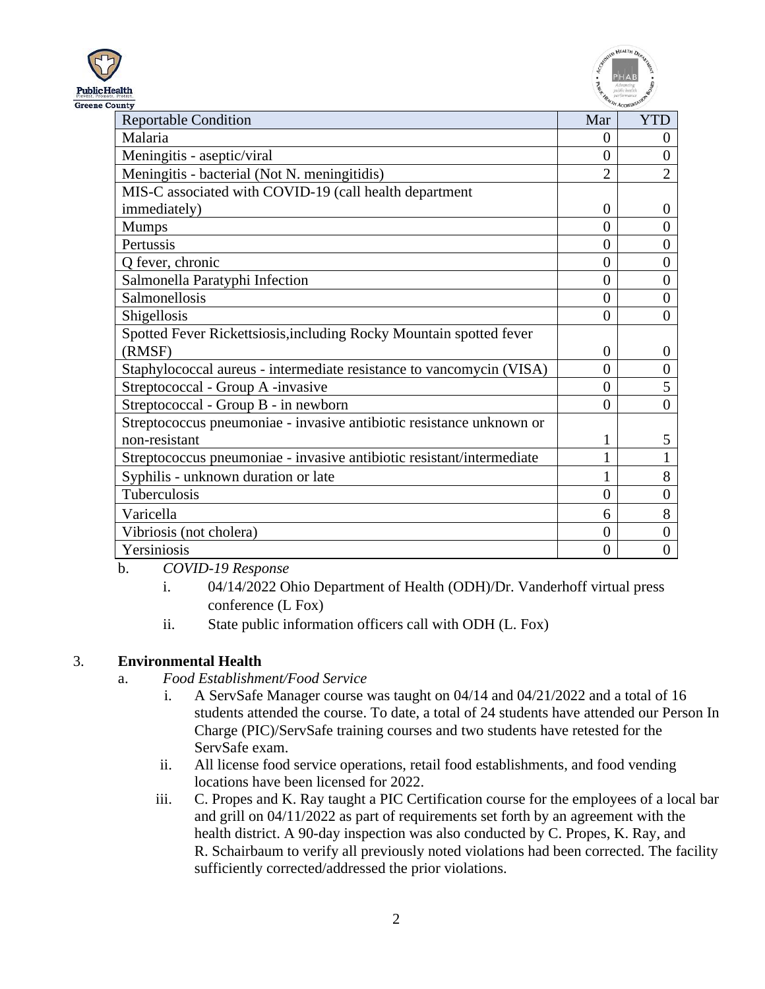



| ountv                                                                 |                |                |
|-----------------------------------------------------------------------|----------------|----------------|
| <b>Reportable Condition</b>                                           | Mar            | YTD            |
| Malaria                                                               | 0              | $\Omega$       |
| Meningitis - aseptic/viral                                            | 0              | 0              |
| Meningitis - bacterial (Not N. meningitidis)                          | $\overline{2}$ | $\overline{2}$ |
| MIS-C associated with COVID-19 (call health department                |                |                |
| immediately)                                                          | 0              | $\overline{0}$ |
| <b>Mumps</b>                                                          | $\theta$       | $\overline{0}$ |
| Pertussis                                                             | $\theta$       | $\overline{0}$ |
| Q fever, chronic                                                      | $\theta$       | $\overline{0}$ |
| Salmonella Paratyphi Infection                                        | $\theta$       | $\overline{0}$ |
| Salmonellosis                                                         | 0              | $\overline{0}$ |
| Shigellosis                                                           | $\Omega$       | $\Omega$       |
| Spotted Fever Rickettsiosis, including Rocky Mountain spotted fever   |                |                |
| (RMSF)                                                                | 0              | $\Omega$       |
| Staphylococcal aureus - intermediate resistance to vancomycin (VISA)  | 0              | $\overline{0}$ |
| Streptococcal - Group A -invasive                                     | 0              | 5              |
| Streptococcal - Group B - in newborn                                  | 0              | $\overline{0}$ |
| Streptococcus pneumoniae - invasive antibiotic resistance unknown or  |                |                |
| non-resistant                                                         |                | 5              |
| Streptococcus pneumoniae - invasive antibiotic resistant/intermediate |                |                |
| Syphilis - unknown duration or late                                   |                | 8              |
| Tuberculosis                                                          | $\theta$       | $\overline{0}$ |
| Varicella                                                             | 6              | 8              |
| Vibriosis (not cholera)                                               | 0              | $\overline{0}$ |
| Yersiniosis                                                           | 0              | $\overline{0}$ |

b. *COVID-19 Response*

- i. 04/14/2022 Ohio Department of Health (ODH)/Dr. Vanderhoff virtual press conference (L Fox)
- ii. State public information officers call with ODH (L. Fox)

## 3. **Environmental Health**

#### a. *Food Establishment/Food Service*

- i. A ServSafe Manager course was taught on 04/14 and 04/21/2022 and a total of 16 students attended the course. To date, a total of 24 students have attended our Person In Charge (PIC)/ServSafe training courses and two students have retested for the ServSafe exam.
- ii. All license food service operations, retail food establishments, and food vending locations have been licensed for 2022.
- iii. C. Propes and K. Ray taught a PIC Certification course for the employees of a local bar and grill on 04/11/2022 as part of requirements set forth by an agreement with the health district. A 90-day inspection was also conducted by C. Propes, K. Ray, and R. Schairbaum to verify all previously noted violations had been corrected. The facility sufficiently corrected/addressed the prior violations.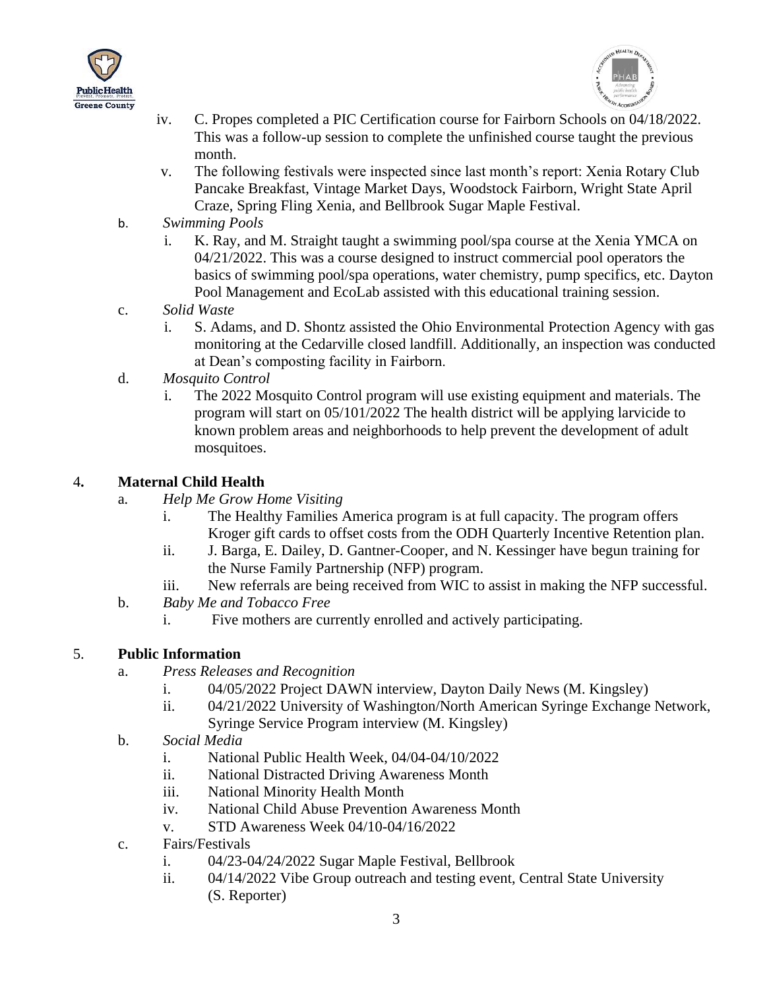



- iv. C. Propes completed a PIC Certification course for Fairborn Schools on 04/18/2022. This was a follow-up session to complete the unfinished course taught the previous month.
- v. The following festivals were inspected since last month's report: Xenia Rotary Club Pancake Breakfast, Vintage Market Days, Woodstock Fairborn, Wright State April Craze, Spring Fling Xenia, and Bellbrook Sugar Maple Festival.
- b. *Swimming Pools*
	- i. K. Ray, and M. Straight taught a swimming pool/spa course at the Xenia YMCA on 04/21/2022. This was a course designed to instruct commercial pool operators the basics of swimming pool/spa operations, water chemistry, pump specifics, etc. Dayton Pool Management and EcoLab assisted with this educational training session.
- c. *Solid Waste*
	- i. S. Adams, and D. Shontz assisted the Ohio Environmental Protection Agency with gas monitoring at the Cedarville closed landfill. Additionally, an inspection was conducted at Dean's composting facility in Fairborn.
- d. *Mosquito Control* 
	- i. The 2022 Mosquito Control program will use existing equipment and materials. The program will start on 05/101/2022 The health district will be applying larvicide to known problem areas and neighborhoods to help prevent the development of adult mosquitoes.

#### 4**. Maternal Child Health**

- a*. Help Me Grow Home Visiting*
	- i. The Healthy Families America program is at full capacity. The program offers Kroger gift cards to offset costs from the ODH Quarterly Incentive Retention plan.
	- ii. J. Barga, E. Dailey, D. Gantner-Cooper, and N. Kessinger have begun training for the Nurse Family Partnership (NFP) program.
	- iii. New referrals are being received from WIC to assist in making the NFP successful.
- b. *Baby Me and Tobacco Free*
	- i. Five mothers are currently enrolled and actively participating.

#### 5. **Public Information**

- a. *Press Releases and Recognition*
	- i. 04/05/2022 Project DAWN interview, Dayton Daily News (M. Kingsley)
	- ii. 04/21/2022 University of Washington/North American Syringe Exchange Network, Syringe Service Program interview (M. Kingsley)
- b. *Social Media*
	- i. National Public Health Week, 04/04-04/10/2022
	- ii. National Distracted Driving Awareness Month
	- iii. National Minority Health Month
	- iv. National Child Abuse Prevention Awareness Month
	- v. STD Awareness Week 04/10-04/16/2022
- c. Fairs/Festivals
	- i. 04/23-04/24/2022 Sugar Maple Festival, Bellbrook
	- ii. 04/14/2022 Vibe Group outreach and testing event, Central State University (S. Reporter)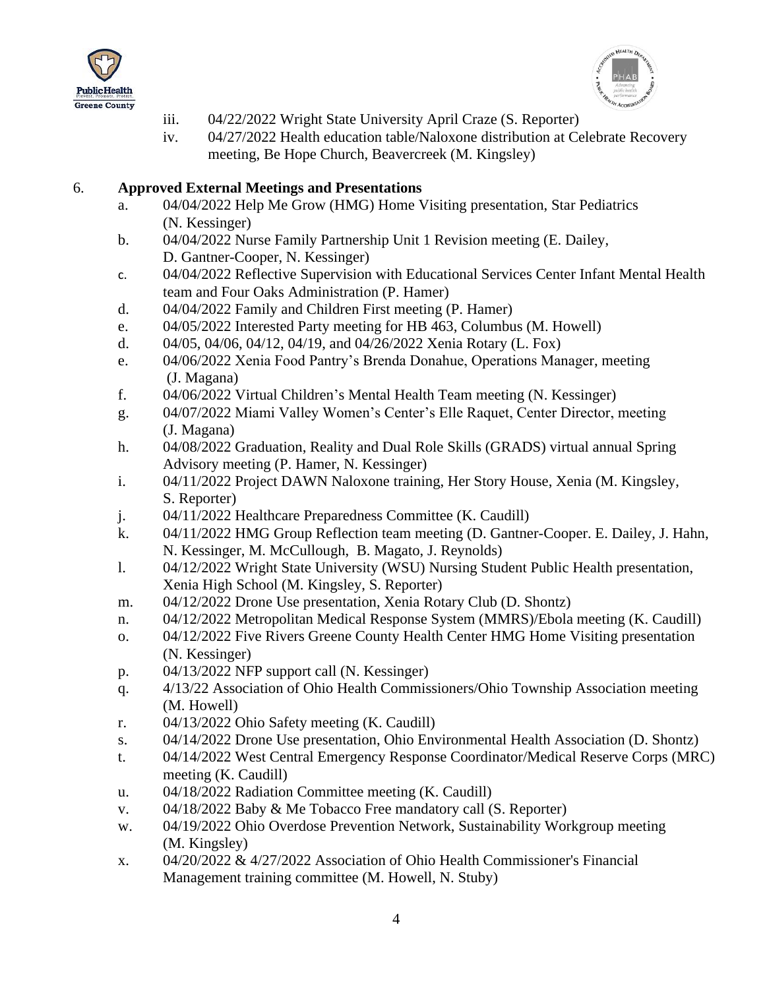



- iii. 04/22/2022 Wright State University April Craze (S. Reporter)
- iv. 04/27/2022 Health education table/Naloxone distribution at Celebrate Recovery meeting, Be Hope Church, Beavercreek (M. Kingsley)

#### 6. **Approved External Meetings and Presentations**

- a. 04/04/2022 Help Me Grow (HMG) Home Visiting presentation, Star Pediatrics (N. Kessinger)
- b. 04/04/2022 Nurse Family Partnership Unit 1 Revision meeting (E. Dailey, D. Gantner-Cooper, N. Kessinger)
- c. 04/04/2022 Reflective Supervision with Educational Services Center Infant Mental Health team and Four Oaks Administration (P. Hamer)
- d. 04/04/2022 Family and Children First meeting (P. Hamer)
- e. 04/05/2022 Interested Party meeting for HB 463, Columbus (M. Howell)
- d. 04/05, 04/06, 04/12, 04/19, and 04/26/2022 Xenia Rotary (L. Fox)
- e. 04/06/2022 Xenia Food Pantry's Brenda Donahue, Operations Manager, meeting (J. Magana)
- f. 04/06/2022 Virtual Children's Mental Health Team meeting (N. Kessinger)
- g. 04/07/2022 Miami Valley Women's Center's Elle Raquet, Center Director, meeting (J. Magana)
- h. 04/08/2022 Graduation, Reality and Dual Role Skills (GRADS) virtual annual Spring Advisory meeting (P. Hamer, N. Kessinger)
- i. 04/11/2022 Project DAWN Naloxone training, Her Story House, Xenia (M. Kingsley, S. Reporter)
- j. 04/11/2022 Healthcare Preparedness Committee (K. Caudill)
- k. 04/11/2022 HMG Group Reflection team meeting (D. Gantner-Cooper. E. Dailey, J. Hahn, N. Kessinger, M. McCullough, B. Magato, J. Reynolds)
- l. 04/12/2022 Wright State University (WSU) Nursing Student Public Health presentation, Xenia High School (M. Kingsley, S. Reporter)
- m. 04/12/2022 Drone Use presentation, Xenia Rotary Club (D. Shontz)
- n. 04/12/2022 Metropolitan Medical Response System (MMRS)/Ebola meeting (K. Caudill)
- o. 04/12/2022 Five Rivers Greene County Health Center HMG Home Visiting presentation (N. Kessinger)
- p. 04/13/2022 NFP support call (N. Kessinger)
- q. 4/13/22 Association of Ohio Health Commissioners/Ohio Township Association meeting (M. Howell)
- r. 04/13/2022 Ohio Safety meeting (K. Caudill)
- s. 04/14/2022 Drone Use presentation, Ohio Environmental Health Association (D. Shontz)
- t. 04/14/2022 West Central Emergency Response Coordinator/Medical Reserve Corps (MRC) meeting (K. Caudill)
- u. 04/18/2022 Radiation Committee meeting (K. Caudill)
- v. 04/18/2022 Baby & Me Tobacco Free mandatory call (S. Reporter)
- w. 04/19/2022 Ohio Overdose Prevention Network, Sustainability Workgroup meeting (M. Kingsley)
- x. 04/20/2022 & 4/27/2022 Association of Ohio Health Commissioner's Financial Management training committee (M. Howell, N. Stuby)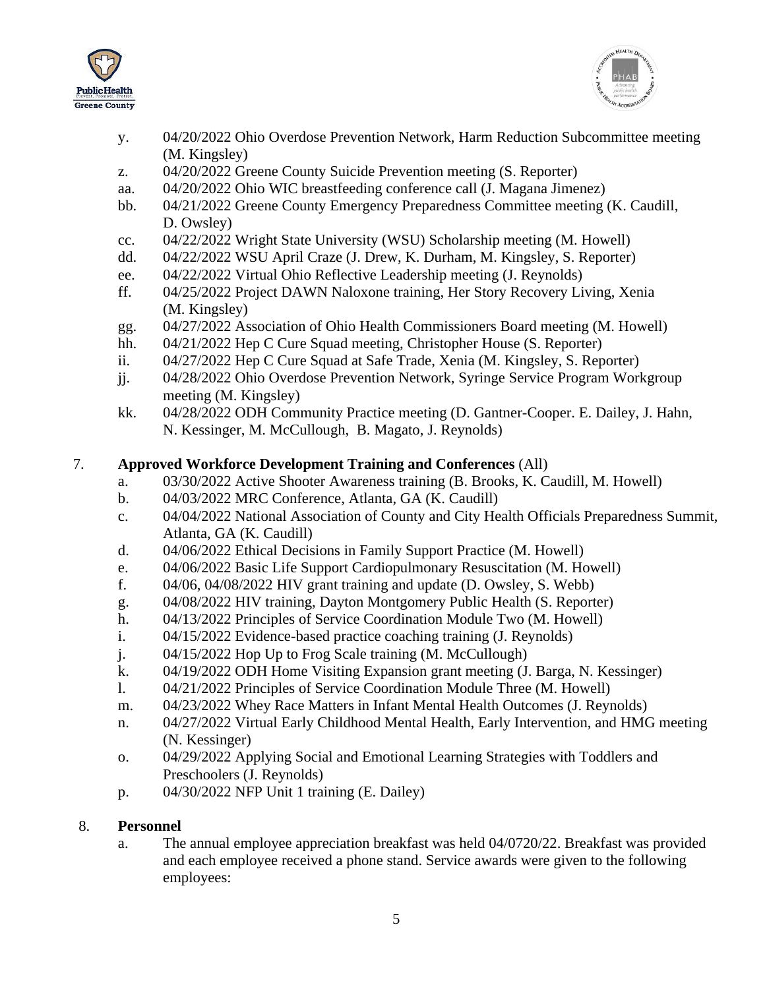



- y. 04/20/2022 Ohio Overdose Prevention Network, Harm Reduction Subcommittee meeting (M. Kingsley)
- z. 04/20/2022 Greene County Suicide Prevention meeting (S. Reporter)
- aa. 04/20/2022 Ohio WIC breastfeeding conference call (J. Magana Jimenez)
- bb. 04/21/2022 Greene County Emergency Preparedness Committee meeting (K. Caudill, D. Owsley)
- cc. 04/22/2022 Wright State University (WSU) Scholarship meeting (M. Howell)
- dd. 04/22/2022 WSU April Craze (J. Drew, K. Durham, M. Kingsley, S. Reporter)
- ee. 04/22/2022 Virtual Ohio Reflective Leadership meeting (J. Reynolds)
- ff. 04/25/2022 Project DAWN Naloxone training, Her Story Recovery Living, Xenia (M. Kingsley)
- gg. 04/27/2022 Association of Ohio Health Commissioners Board meeting (M. Howell)
- hh. 04/21/2022 Hep C Cure Squad meeting, Christopher House (S. Reporter)
- ii. 04/27/2022 Hep C Cure Squad at Safe Trade, Xenia (M. Kingsley, S. Reporter)
- jj. 04/28/2022 Ohio Overdose Prevention Network, Syringe Service Program Workgroup meeting (M. Kingsley)
- kk. 04/28/2022 ODH Community Practice meeting (D. Gantner-Cooper. E. Dailey, J. Hahn, N. Kessinger, M. McCullough, B. Magato, J. Reynolds)

## 7. **Approved Workforce Development Training and Conferences** (All)

- a. 03/30/2022 Active Shooter Awareness training (B. Brooks, K. Caudill, M. Howell)
- b. 04/03/2022 MRC Conference, Atlanta, GA (K. Caudill)
- c. 04/04/2022 National Association of County and City Health Officials Preparedness Summit, Atlanta, GA (K. Caudill)
- d. 04/06/2022 Ethical Decisions in Family Support Practice (M. Howell)
- e. 04/06/2022 Basic Life Support Cardiopulmonary Resuscitation (M. Howell)
- f. 04/06, 04/08/2022 HIV grant training and update (D. Owsley, S. Webb)
- g. 04/08/2022 HIV training, Dayton Montgomery Public Health (S. Reporter)
- h. 04/13/2022 Principles of Service Coordination Module Two (M. Howell)
- i. 04/15/2022 Evidence-based practice coaching training (J. Reynolds)
- j. 04/15/2022 Hop Up to Frog Scale training (M. McCullough)
- k. 04/19/2022 ODH Home Visiting Expansion grant meeting (J. Barga, N. Kessinger)
- l. 04/21/2022 Principles of Service Coordination Module Three (M. Howell)
- m. 04/23/2022 Whey Race Matters in Infant Mental Health Outcomes (J. Reynolds)
- n. 04/27/2022 Virtual Early Childhood Mental Health, Early Intervention, and HMG meeting (N. Kessinger)
- o. 04/29/2022 Applying Social and Emotional Learning Strategies with Toddlers and Preschoolers (J. Reynolds)
- p. 04/30/2022 NFP Unit 1 training (E. Dailey)

## 8. **Personnel**

a. The annual employee appreciation breakfast was held 04/0720/22. Breakfast was provided and each employee received a phone stand. Service awards were given to the following employees: